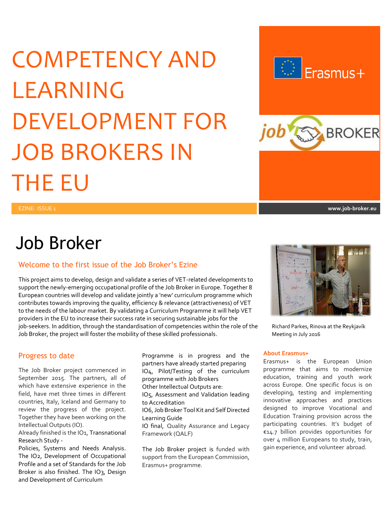# COMPETENCY AND LEARNING DEVELOPMENT FOR JOB BROKERS IN THE EU



## Job Broker

### Welcome to the first issue of the Job Broker's Ezine

This project aims to develop, design and validate a series of VET-related developments to support the newly-emerging occupational profile of the Job Broker in Europe. Together 8 European countries will develop and validate jointly a 'new' curriculum programme which contributes towards improving the quality, efficiency & relevance (attractiveness) of VET to the needs of the labour market. By validating a Curriculum Programme it will help VET providers in the EU to increase their success rate in securing sustainable jobs for the job-seekers. In addition, through the standardisation of competencies within the role of the Richard Parkes, Rinova at the Reykjavík Job Broker, the project will foster the mobility of these skilled professionals. Meeting in July 2016

### Progress to date

The Job Broker project commenced in September 2015. The partners, all of which have extensive experience in the field, have met three times in different countries, Italy, Iceland and Germany to review the progress of the project. Together they have been working on the Intellectual Outputs (IO).

Already finished is the IO1, Transnational Research Study -

Policies, Systems and Needs Analysis. The IO2, Development of Occupational Profile and a set of Standards for the Job Broker is also finished. The IO<sub>3</sub>, Design and Development of Curriculum

Programme is in progress and the partners have already started preparing IO4, Pilot/Testing of the curriculum programme with Job Brokers

Other Intellectual Outputs are: IO5, Assessment and Validation leading

to Accreditation

IO6, Job Broker Tool Kit and Self Directed Learning Guide

IO final, Quality Assurance and Legacy Framework (QALF)

The Job Broker project is funded with support from the European Commission, Erasmus+ programme.



#### **About Erasmus+**

Erasmus+ is the European Union programme that aims to modernize education, training and youth work across Europe. One specific focus is on developing, testing and implementing innovative approaches and practices designed to improve Vocational and Education Training provision across the participating countries. It's budget of €14.7 billion provides opportunities for over 4 million Europeans to study, train, gain experience, and volunteer abroad.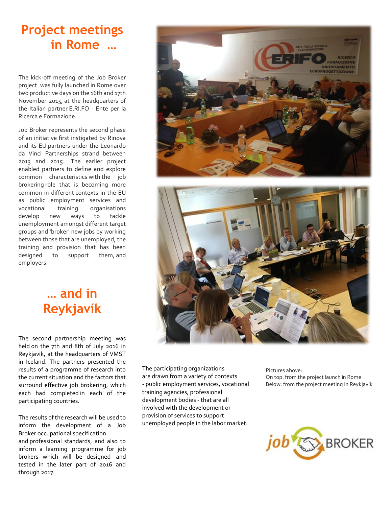### **Project meetings in Rome …**

The kick-off meeting of the Job Broker project was fully launched in Rome over two productive days on the 16th and 17th November 2015, at the headquarters of the Italian partner E.RI.FO - Ente per la Ricerca e Formazione.

Job Broker represents the second phase of an initiative first instigated by Rinova and its EU partners under the Leonardo da Vinci Partnerships strand between 2013 and 2015. The earlier project enabled partners to define and explore common characteristics with the job brokering role that is becoming more common in different contexts in the EU as public employment services and vocational training organisations develop new ways to tackle unemployment amongst different target groups and 'broker' new jobs by working between those that are unemployed, the training and provision that has been designed to support them, and employers.

### **… and in Reykjavík**

The second partnership meeting was held on the 7th and 8th of July 2016 in Reykjavik, at the headquarters of VMST in Iceland. The partners presented the results of a programme of research into the current situation and the factors that surround effective job brokering, which each had completed in each of the participating countries.

The results of the research will be used to inform the development of a Job Broker occupational specification and professional standards, and also to inform a learning programme for job brokers which will be designed and tested in the later part of 2016 and through 2017.

The participating organizations are drawn from a variety of contexts - public employment services, vocational training agencies, professional development bodies - that are all involved with the development or provision of services to support unemployed people in the labor market.

Pictures above: On top: from the project launch in Rome Below: from the project meeting in Reykjavík